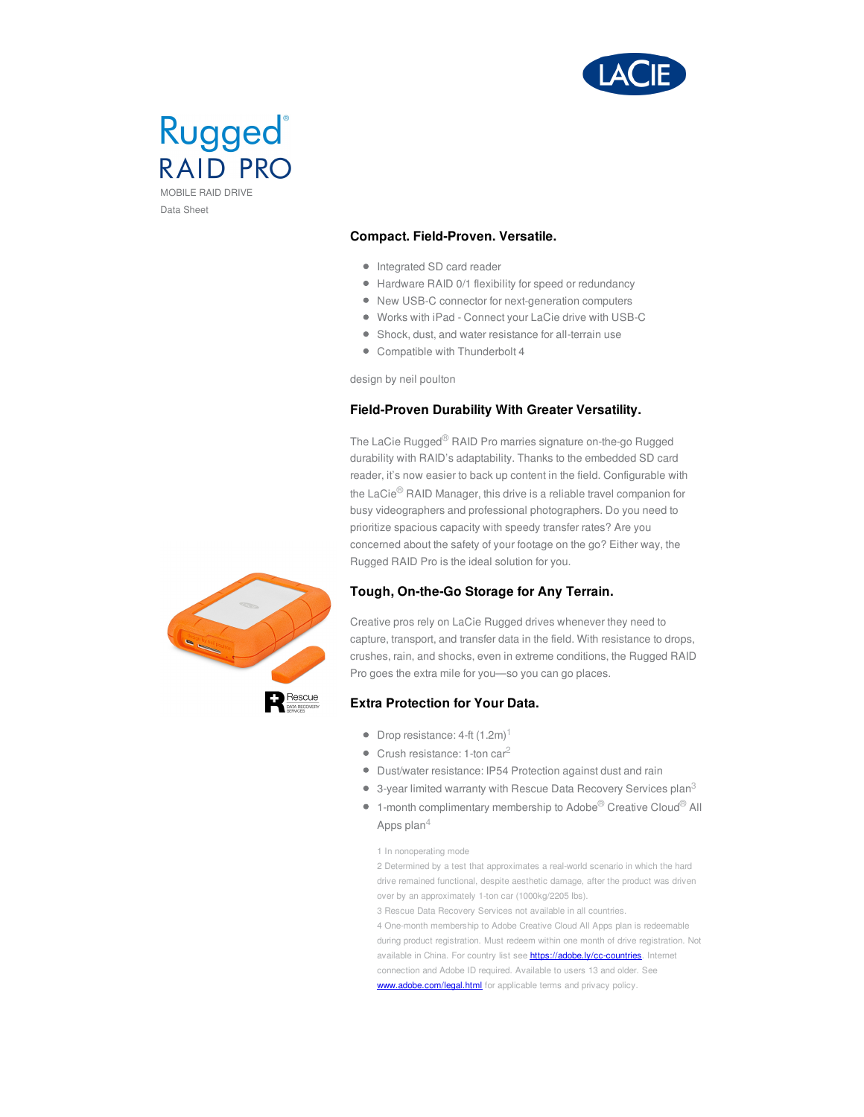

## Rugged **RAID PRO** MOBILE RAID DRIVE

Data Sheet

### **Compact. Field-Proven. Versatile.**

- Integrated SD card reader
- Hardware RAID 0/1 flexibility for speed or redundancy
- New USB-C connector for next-generation computers
- Works with iPad Connect your LaCie drive with USB-C
- Shock, dust, and water resistance for all-terrain use
- Compatible with Thunderbolt 4

design by neil poulton

#### **Field-Proven Durability With Greater Versatility.**

The LaCie Rugged® RAID Pro marries signature on-the-go Rugged durability with RAID's adaptability. Thanks to the embedded SD card reader, it's now easier to back up content in the field. Configurable with the LaCie® RAID Manager, this drive is a reliable travel companion for busy videographers and professional photographers. Do you need to prioritize spacious capacity with speedy transfer rates? Are you concerned about the safety of your footage on the go? Either way, the Rugged RAID Pro is the ideal solution for you.



### **Tough, On-the-Go Storage for Any Terrain.**

Creative pros rely on LaCie Rugged drives whenever they need to capture, transport, and transfer data in the field. With resistance to drops, crushes, rain, and shocks, even in extreme conditions, the Rugged RAID Pro goes the extra mile for you—so you can go places.

## **Extra Protection for Your Data.**

- Drop resistance:  $4\text{-ft}$  (1.2m)<sup>1</sup>
- Crush resistance: 1-ton car<sup>2</sup>
- Dust/water resistance: IP54 Protection against dust and rain
- 3-year limited warranty with Rescue Data Recovery Services plan $3$
- 1-month complimentary membership to Adobe<sup>®</sup> Creative Cloud<sup>®</sup> All Apps plan $^4\,$ 
	- 1 In nonoperating mode

2 Determined by a test that approximates a real-world scenario in which the hard drive remained functional, despite aesthetic damage, after the product was driven over by an approximately 1-ton car (1000kg/2205 lbs).

3 Rescue Data Recovery Services not available in all countries.

4 One-month membership to Adobe Creative Cloud All Apps plan is redeemable during product registration. Must redeem within one month of drive registration. Not available in China. For country list see **<https://adobe.ly/cc-countries>**. Internet connection and Adobe ID required. Available to users 13 and older. See <www.adobe.com/legal.html> for applicable terms and privacy policy.